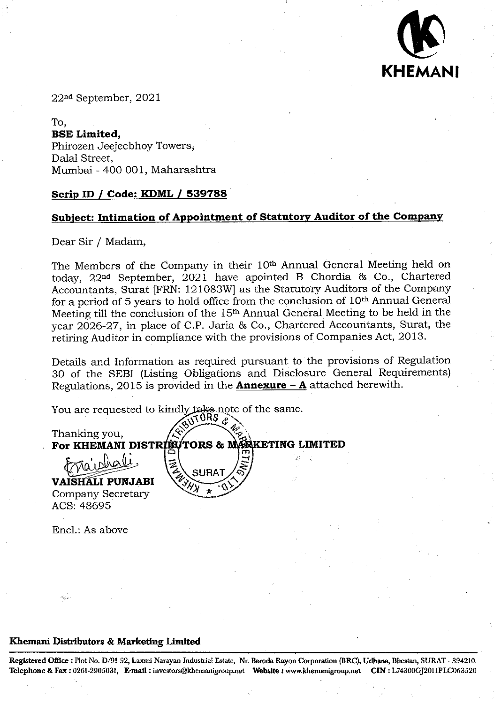

22nd September, 2021

To, **BSE Limited,**  Phirozen Jeejeebhoy Towers, Dalal Street, Mumbai - 400 001, Maharashtra

#### **Scrip ID / Code: KDML I 539788**

### **Subject: Intimation of Appointment of Statutory Auditor of the Company**

Dear *Sir* / Madam,

The Members of the Company in their 10th Annual General Meeting held on today,  $22<sup>nd</sup>$  September,  $2021$  have apointed B Chordia & Co., Chartered Accountants, Surat [FRN: 121083W] as the Statutory Auditors of the Company for a period of 5 years to hold office from the conclusion of 10th Annual General Meeting till the conclusion of the 15th Annual General Meeting to be held in the year 2026-27, in place of C.P. Jaria & Co., Chartered Accountants, Surat, the retiring Auditor in compliance with the provisions of Companies Act, 2013.

Details and Information as required pursuant to the provisions of Regulation 30 of the SEBI (Listing Obligations and Disclosure General Requirements) Regulations, 2015 is provided in the **Annexure -** A attached herewith.

You are requested to kindly take note of the same.  $\sqrt{10}$  TORS  $\frac{1}{6}$ 

Thanking you, **For KHEMANI DISTRIBUTORS & MARKETING LIMITED**  $frac$ braishali,  $\left| \frac{1}{2} \right|$ **VAISHALI PUNJABI** 

Company Secretary ACS: 48695

End.: As above

#### **Khemani Distributors** •& **Marketing Limited**

**Registered Office: Plot** No. 1)791-92, Laxmi Narayan Industrial Estate, Nt **Baroda Rayon Corporation (BRC), LJdbana, Ehestan,** SURAT - 394210. Telephone & Fax: 0261-2905031, **E-mafl:investors@khemainigroup.net Website** : **www.khemanigroup.netCIN L74800GJ2011PLC063520**